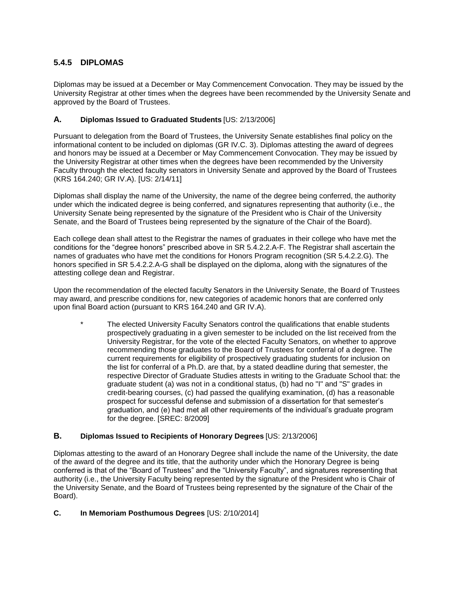# **5.4.5 DIPLOMAS**

Diplomas may be issued at a December or May Commencement Convocation. They may be issued by the University Registrar at other times when the degrees have been recommended by the University Senate and approved by the Board of Trustees.

# **A. Diplomas Issued to Graduated Students** [US: 2/13/2006]

Pursuant to delegation from the Board of Trustees, the University Senate establishes final policy on the informational content to be included on diplomas (GR IV.C. 3). Diplomas attesting the award of degrees and honors may be issued at a December or May Commencement Convocation. They may be issued by the University Registrar at other times when the degrees have been recommended by the University Faculty through the elected faculty senators in University Senate and approved by the Board of Trustees (KRS 164.240; GR IV.A). [US: 2/14/11]

Diplomas shall display the name of the University, the name of the degree being conferred, the authority under which the indicated degree is being conferred, and signatures representing that authority (i.e., the University Senate being represented by the signature of the President who is Chair of the University Senate, and the Board of Trustees being represented by the signature of the Chair of the Board).

Each college dean shall attest to the Registrar the names of graduates in their college who have met the conditions for the "degree honors" prescribed above in SR 5.4.2.2.A-F. The Registrar shall ascertain the names of graduates who have met the conditions for Honors Program recognition (SR 5.4.2.2.G). The honors specified in SR 5.4.2.2.A-G shall be displayed on the diploma, along with the signatures of the attesting college dean and Registrar.

Upon the recommendation of the elected faculty Senators in the University Senate, the Board of Trustees may award, and prescribe conditions for, new categories of academic honors that are conferred only upon final Board action (pursuant to KRS 164.240 and GR IV.A).

The elected University Faculty Senators control the qualifications that enable students prospectively graduating in a given semester to be included on the list received from the University Registrar, for the vote of the elected Faculty Senators, on whether to approve recommending those graduates to the Board of Trustees for conferral of a degree. The current requirements for eligibility of prospectively graduating students for inclusion on the list for conferral of a Ph.D. are that, by a stated deadline during that semester, the respective Director of Graduate Studies attests in writing to the Graduate School that: the graduate student (a) was not in a conditional status, (b) had no "I" and "S" grades in credit-bearing courses, (c) had passed the qualifying examination, (d) has a reasonable prospect for successful defense and submission of a dissertation for that semester's graduation, and (e) had met all other requirements of the individual's graduate program for the degree. [SREC: 8/2009]

### **B. Diplomas Issued to Recipients of Honorary Degrees** [US: 2/13/2006]

Diplomas attesting to the award of an Honorary Degree shall include the name of the University, the date of the award of the degree and its title, that the authority under which the Honorary Degree is being conferred is that of the "Board of Trustees" and the "University Faculty", and signatures representing that authority (i.e., the University Faculty being represented by the signature of the President who is Chair of the University Senate, and the Board of Trustees being represented by the signature of the Chair of the Board).

### **C. In Memoriam Posthumous Degrees** [US: 2/10/2014]